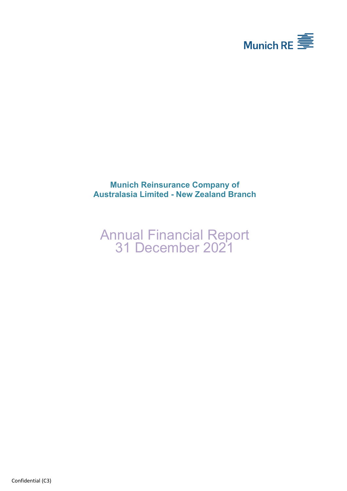

## **Munich Reinsurance Company of Australasia Limited - New Zealand Branch**

# Annual Financial Report 31 December 2021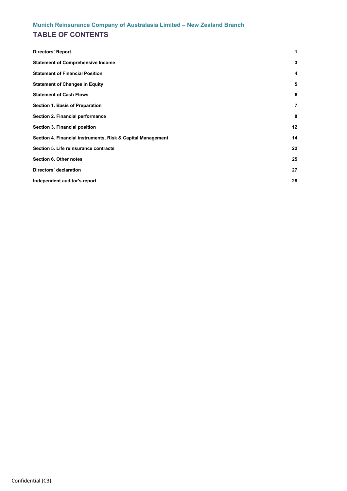## **TABLE OF CONTENTS**

| <b>Directors' Report</b>                                    | 1              |
|-------------------------------------------------------------|----------------|
| <b>Statement of Comprehensive Income</b>                    | 3              |
| <b>Statement of Financial Position</b>                      | 4              |
| <b>Statement of Changes in Equity</b>                       | 5              |
| <b>Statement of Cash Flows</b>                              | 6              |
| Section 1. Basis of Preparation                             | $\overline{7}$ |
| Section 2. Financial performance                            | 8              |
| Section 3. Financial position                               | 12             |
| Section 4. Financial instruments, Risk & Capital Management | 14             |
| Section 5. Life reinsurance contracts                       | 22             |
| Section 6. Other notes                                      | 25             |
| Directors' declaration                                      | 27             |
| Independent auditor's report                                | 28             |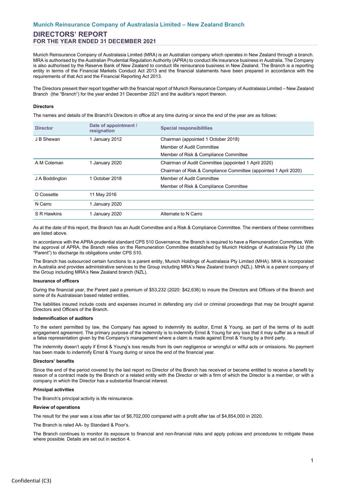## **DIRECTORS' REPORT FOR THE YEAR ENDED 31 DECEMBER 2021**

Munich Reinsurance Company of Australasia Limited (MRA) is an Australian company which operates in New Zealand through a branch. MRA is authorised by the Australian Prudential Regulation Authority (APRA) to conduct life insurance business in Australia. The Company is also authorised by the Reserve Bank of New Zealand to conduct life reinsurance business in New Zealand. The Branch is a reporting entity in terms of the Financial Markets Conduct Act 2013 and the financial statements have been prepared in accordance with the requirements of that Act and the Financial Reporting Act 2013.

The Directors present their report together with the financial report of Munich Reinsurance Company of Australasia Limited – New Zealand Branch (the "Branch") for the year ended 31 December 2021 and the auditor's report thereon.

#### <span id="page-2-0"></span>**Directors**

The names and details of the Branch's Directors in office at any time during or since the end of the year are as follows:

| <b>Director</b> | Date of appointment /<br>resignation | <b>Special responsibilities</b>                                  |
|-----------------|--------------------------------------|------------------------------------------------------------------|
| J B Shewan      | 1 January 2012                       | Chairman (appointed 1 October 2018)                              |
|                 |                                      | Member of Audit Committee                                        |
|                 |                                      | Member of Risk & Compliance Committee                            |
| A M Coleman     | 1 January 2020                       | Chairman of Audit Committee (appointed 1 April 2020)             |
|                 |                                      | Chairman of Risk & Compliance Committee (appointed 1 April 2020) |
| J A Boddington  | 1 October 2018                       | Member of Audit Committee                                        |
|                 |                                      | Member of Risk & Compliance Committee                            |
| D Cossette      | 11 May 2016                          |                                                                  |
| N Carro         | 1 January 2020                       |                                                                  |
| S R Hawkins     | 1 January 2020                       | Alternate to N Carro                                             |

As at the date of this report, the Branch has an Audit Committee and a Risk & Compliance Committee. The members of these committees are listed above.

In accordance with the APRA prudential standard CPS 510 Governance, the Branch is required to have a Remuneration Committee. With the approval of APRA, the Branch relies on the Remuneration Committee established by Munich Holdings of Australasia Pty Ltd (the "Parent") to discharge its obligations under CPS 510.

The Branch has outsourced certain functions to a parent entity, Munich Holdings of Australasia Pty Limited (MHA). MHA is incorporated in Australia and provides administrative services to the Group including MRA's New Zealand branch (NZL). MHA is a parent company of the Group including MRA's New Zealand branch (NZL).

#### **Insurance of officers**

During the financial year, the Parent paid a premium of \$53,232 (2020: \$42,636) to insure the Directors and Officers of the Branch and some of its Australasian based related entities.

The liabilities insured include costs and expenses incurred in defending any civil or criminal proceedings that may be brought against Directors and Officers of the Branch.

#### **Indemnification of auditors**

To the extent permitted by law, the Company has agreed to indemnify its auditor, Ernst & Young, as part of the terms of its audit engagement agreement. The primary purpose of the indemnity is to indemnify Ernst & Young for any loss that it may suffer as a result of a false representation given by the Company's management where a claim is made against Ernst & Young by a third party.

The indemnity doesn't apply if Ernst & Young's loss results from its own negligence or wrongful or wilful acts or omissions. No payment has been made to indemnify Ernst & Young during or since the end of the financial year.

#### **Directors' benefits**

Since the end of the period covered by the last report no Director of the Branch has received or become entitled to receive a benefit by reason of a contract made by the Branch or a related entity with the Director or with a firm of which the Director is a member, or with a company in which the Director has a substantial financial interest.

#### **Principal activities**

The Branch's principal activity is life reinsurance.

#### **Review of operations**

The result for the year was a loss after tax of \$6,702,000 compared with a profit after tax of \$4,854,000 in 2020.

The Branch is rated AA- by Standard & Poor's.

The Branch continues to monitor its exposure to financial and non-financial risks and apply policies and procedures to mitigate these where possible. Details are set out in section 4.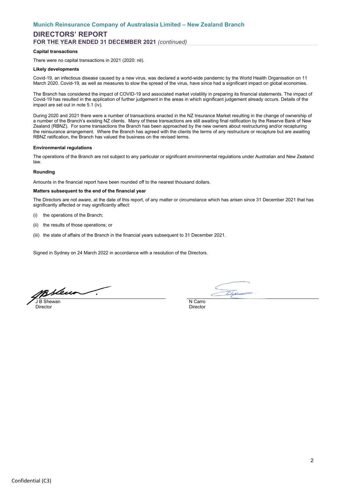## **DIRECTORS' REPORT FOR THE YEAR ENDED 31 DECEMBER 2021** *(continued)*

#### **Capital transactions**

There were no capital transactions in 2021 (2020: nil).

#### **Likely developments**

Covid-19, an infectious disease caused by a new virus, was declared a world-wide pandemic by the World Health Organisation on 11 March 2020. Covid-19, as well as measures to slow the spread of the virus, have since had a significant impact on global economies.

The Branch has considered the impact of COVID-19 and associated market volatility in preparing its financial statements. The impact of Covid-19 has resulted in the application of further judgement in the areas in which significant judgement already occurs. Details of the impact are set out in note 5.1 (iv).

During 2020 and 2021 there were a number of transactions enacted in the NZ Insurance Market resulting in the change of ownership of a number of the Branch's existing NZ clients. Many of these transactions are still awaiting final ratification by the Reserve Bank of New Zealand (RBNZ). For some transactions the Branch has been approached by the new owners about restructuring and/or recapturing the reinsurance arrangement. Where the Branch has agreed with the clients the terms of any restructure or recapture but are awaiting RBNZ ratification, the Branch has valued the business on the revised terms.

#### **Environmental regulations**

The operations of the Branch are not subject to any particular or significant environmental regulations under Australian and New Zealand law.

#### **Rounding**

Amounts in the financial report have been rounded off to the nearest thousand dollars.

#### **Matters subsequent to the end of the financial year**

The Directors are not aware, at the date of this report, of any matter or circumstance which has arisen since 31 December 2021 that has significantly affected or may significantly affect:

- (i) the operations of the Branch;
- (ii) the results of those operations; or
- (iii) the state of affairs of the Branch in the financial years subsequent to 31 December 2021.

Signed in Sydney on 24 March 2022 in accordance with a resolution of the Directors.

msleur 7 **J B Shewan** N Carro

Director Director

 $\overline{C}C$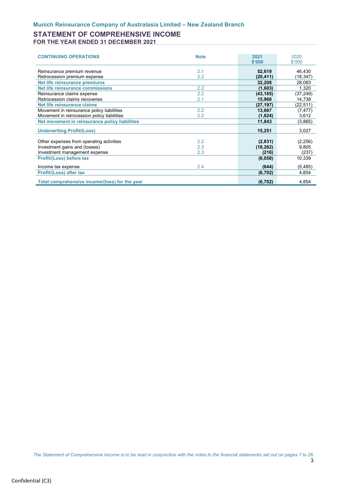### **STATEMENT OF COMPREHENSIVE INCOME FOR THE YEAR ENDED 31 DECEMBER 2021**

<span id="page-4-0"></span>

| <b>CONTINUING OPERATIONS</b>                   | <b>Note</b> | 2021      | 2020      |
|------------------------------------------------|-------------|-----------|-----------|
|                                                |             | \$'000    | \$'000    |
| Reinsurance premium revenue                    | 2.1         | 52,619    | 46,430    |
|                                                | 2.2         |           |           |
| Retrocession premium expense                   |             | (20, 411) | (18, 347) |
| Net life reinsurance premiums                  |             | 32,208    | 28,083    |
| Net life reinsurance commissions               | 2.2         | (1,603)   | 1,320     |
| Reinsurance claims expense                     | 2.2         | (43, 165) | (37, 249) |
| Retrocession claims recoveries                 | 2.1         | 15,968    | 14,738    |
| Net life reinsurance claims                    |             | (27, 197) | (22, 511) |
| Movement in reinsurance policy liabilities     | 2.2         | 13,667    | (7, 477)  |
| Movement in retrocession policy liabilities    | $2.2\,$     | (1,824)   | 3,612     |
| Net movement in reinsurance policy liabilities |             | 11,843    | (3,865)   |
|                                                |             |           |           |
| <b>Underwriting Profit/(Loss)</b>              |             | 15,251    | 3,027     |
|                                                |             |           |           |
| Other expenses from operating activities       | 2.2         | (2,831)   | (2,256)   |
| Investment gains and (losses)                  | 2.3         | (18, 262) | 9,805     |
| Investment management expense                  | 2.3         | (216)     | (237)     |
| Profit/(Loss) before tax                       |             | (6,058)   | 10,339    |
|                                                |             |           |           |
| Income tax expense                             | 2.4         | (644)     | (5, 485)  |
| <b>Profit/(Loss) after tax</b>                 |             | (6, 702)  | 4,854     |
|                                                |             |           |           |
| Total comprehensive income/(loss) for the year |             | (6, 702)  | 4.854     |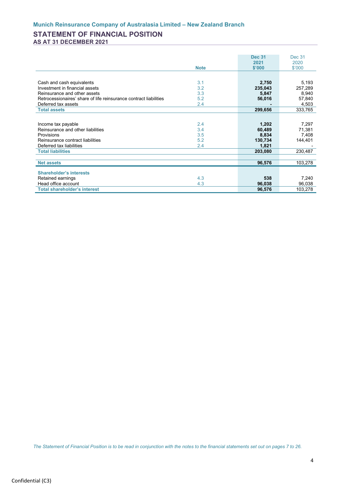## **STATEMENT OF FINANCIAL POSITION AS AT 31 DECEMBER 2021**

<span id="page-5-0"></span>

|                                                                   |             | <b>Dec 31</b> | <b>Dec 31</b> |
|-------------------------------------------------------------------|-------------|---------------|---------------|
|                                                                   |             | 2021          | 2020          |
|                                                                   | <b>Note</b> | \$'000        | \$'000        |
|                                                                   |             |               |               |
| Cash and cash equivalents                                         | 3.1         | 2,750         | 5,193         |
| Investment in financial assets                                    | 3.2         | 235,043       | 257,289       |
| Reinsurance and other assets                                      | 3.3         | 5,847         | 8,940         |
| Retrocessionaires' share of life reinsurance contract liabilities | 5.2         | 56,016        | 57,840        |
| Deferred tax assets                                               | 2.4         |               | 4,503         |
| <b>Total assets</b>                                               |             |               | 333,765       |
|                                                                   |             | 299,656       |               |
|                                                                   |             |               |               |
| Income tax payable                                                | 2.4         | 1,202         | 7,297         |
| Reinsurance and other liabilities                                 | 3.4         | 60,489        | 71.381        |
| Provisions                                                        | 3.5         | 8,834         | 7,408         |
| Reinsurance contract liabilities                                  | 5.2         | 130,734       | 144,401       |
| Deferred tax liabilities                                          | 2.4         | 1,821         |               |
| <b>Total liabilities</b>                                          |             | 203,080       | 230,487       |
|                                                                   |             |               |               |
| <b>Net assets</b>                                                 |             | 96,576        | 103,278       |
|                                                                   |             |               |               |
| <b>Shareholder's interests</b>                                    |             |               |               |
| Retained earnings                                                 | 4.3         | 538           | 7,240         |
| Head office account                                               | 4.3         | 96,038        | 96,038        |
| <b>Total shareholder's interest</b>                               |             | 96,576        | 103,278       |

*The Statement of Financial Position is to be read in conjunction with the notes to the financial statements set out on pages 7 to 26.*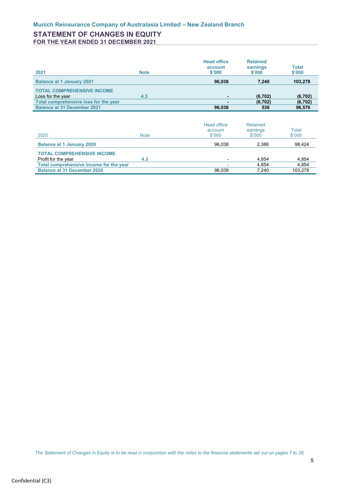## **STATEMENT OF CHANGES IN EQUITY FOR THE YEAR ENDED 31 DECEMBER 2021**

| 2021                                  | <b>Note</b> | <b>Head office</b><br>account<br>\$'000 | <b>Retained</b><br>earnings<br>\$'000 | <b>Total</b><br>\$'000 |
|---------------------------------------|-------------|-----------------------------------------|---------------------------------------|------------------------|
| <b>Balance at 1 January 2021</b>      |             | 96,038                                  | 7.240                                 | 103,278                |
| <b>TOTAL COMPREHENSIVE INCOME</b>     |             |                                         |                                       |                        |
| Loss for the year                     | 4.3         |                                         | (6, 702)                              | (6, 702)               |
| Total comprehensive loss for the year |             |                                         | (6, 702)                              | (6, 702)               |
| <b>Balance at 31 December 2021</b>    |             | 96.038                                  | 538                                   | 96,576                 |

<span id="page-6-0"></span>

| 2020                                    | <b>Note</b> | Head office<br>account<br>\$'000 | Retained<br>earnings<br>\$'000 | Total<br>\$'000 |
|-----------------------------------------|-------------|----------------------------------|--------------------------------|-----------------|
| <b>Balance at 1 January 2020</b>        |             | 96.038                           | 2.386                          | 98.424          |
| <b>TOTAL COMPREHENSIVE INCOME</b>       |             |                                  |                                |                 |
| Profit for the year                     | 4.3         |                                  | 4.854                          | 4,854           |
| Total comprehensive income for the year |             |                                  | 4.854                          | 4,854           |
| <b>Balance at 31 December 2020</b>      |             | 96.038                           | 7.240                          | 103.278         |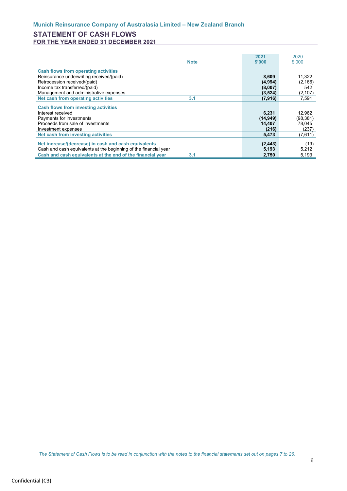## **STATEMENT OF CASH FLOWS FOR THE YEAR ENDED 31 DECEMBER 2021**

<span id="page-7-0"></span>

|                                                                   | 2021      | 2020      |
|-------------------------------------------------------------------|-----------|-----------|
| <b>Note</b>                                                       | \$'000    | \$'000    |
| <b>Cash flows from operating activities</b>                       |           |           |
| Reinsurance underwriting received/(paid)                          | 8,609     | 11,322    |
| Retrocession received/(paid)                                      | (4,994)   | (2, 166)  |
| Income tax transferred/(paid)                                     | (8,007)   | 542       |
| Management and administrative expenses                            | (3,524)   | (2, 107)  |
| Net cash from operating activities<br>3.1                         | (7, 916)  | 7.591     |
|                                                                   |           |           |
| <b>Cash flows from investing activities</b>                       |           |           |
| Interest received                                                 | 6,231     | 12,962    |
| Payments for investments                                          | (14, 949) | (98, 381) |
| Proceeds from sale of investments                                 | 14.407    | 78,045    |
| Investment expenses                                               | (216)     | (237)     |
| Net cash from investing activities                                | 5,473     | (7,611)   |
|                                                                   |           |           |
| Net increase/(decrease) in cash and cash equivalents              | (2, 443)  | (19)      |
| Cash and cash equivalents at the beginning of the financial year  | 5,193     | 5,212     |
| Cash and cash equivalents at the end of the financial year<br>3.1 | 2,750     | 5,193     |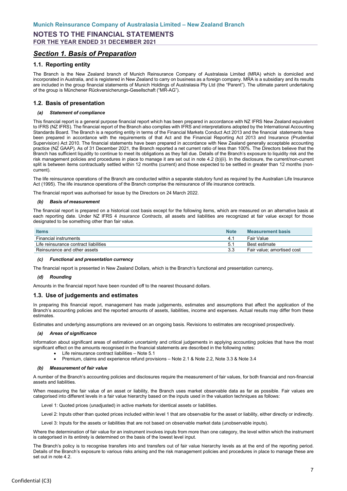## <span id="page-8-0"></span>*Section 1. Basis of Preparation*

### **1.1. Reporting entity**

The Branch is the New Zealand branch of Munich Reinsurance Company of Australasia Limited (MRA) which is domiciled and incorporated in Australia, and is registered in New Zealand to carry on business as a foreign company. MRA is a subsidiary and its results are included in the group financial statements of Munich Holdings of Australasia Pty Ltd (the "Parent"). The ultimate parent undertaking of the group is Münchener Rückversicherungs-Gesellschaft ("MR-AG").

### **1.2. Basis of presentation**

#### *(a) Statement of compliance*

This financial report is a general purpose financial report which has been prepared in accordance with NZ IFRS New Zealand equivalent to IFRS (NZ IFRS). The financial report of the Branch also complies with IFRS and interpretations adopted by the International Accounting Standards Board. The Branch is a reporting entity in terms of the Financial Markets Conduct Act 2013 and the financial statements have been prepared in accordance with the requirements of that Act and the Financial Reporting Act 2013 and Insurance (Prudential Supervision) Act 2010. The financial statements have been prepared in accordance with New Zealand generally acceptable accounting practice (NZ GAAP). As of 31 December 2021, the Branch reported a net current ratio of less than 100%. The Directors believe that the Branch has sufficient liquidity to continue to meet its obligations as they fall due. Details of the Branch's exposure to liquidity risk and the risk management policies and procedures in place to manage it are set out in note 4.2 (b)(ii). In the disclosure, the current/non-current split is between items contractually settled within 12 months (current) and those expected to be settled in greater than 12 months (noncurrent).

The life reinsurance operations of the Branch are conducted within a separate statutory fund as required by the Australian Life Insurance Act (1995). The life insurance operations of the Branch comprise the reinsurance of life insurance contracts.

The financial report was authorised for issue by the Directors on 24 March 2022.

#### *(b) Basis of measurement*

The financial report is prepared on a historical cost basis except for the following items, which are measured on an alternative basis at each reporting date. Under NZ IFRS 4 *Insurance Contracts*, all assets and liabilities are recognized at fair value except for those designated to be something other than fair value.

| <b>Items</b>                          | <b>Note</b> | <b>Measurement basis</b>   |
|---------------------------------------|-------------|----------------------------|
| Financial instruments                 |             | Fair Value                 |
| Life reinsurance contract liabilities | .5          | <b>Best estimate</b>       |
| Reinsurance and other assets          |             | Fair value: amortised cost |

#### *(c) Functional and presentation currency*

The financial report is presented in New Zealand Dollars, which is the Branch's functional and presentation currency*.* 

#### *(d) Rounding*

Amounts in the financial report have been rounded off to the nearest thousand dollars.

#### **1.3. Use of judgements and estimates**

In preparing this financial report, management has made judgements, estimates and assumptions that affect the application of the Branch's accounting policies and the reported amounts of assets, liabilities, income and expenses. Actual results may differ from these estimates.

Estimates and underlying assumptions are reviewed on an ongoing basis. Revisions to estimates are recognised prospectively.

#### *(a) Areas of significance*

Information about significant areas of estimation uncertainty and critical judgements in applying accounting policies that have the most significant effect on the amounts recognised in the financial statements are described in the following notes:

- Life reinsurance contract liabilities Note 5.1
- Premium, claims and experience refund provisions Note 2.1 & Note 2.2, Note 3.3 & Note 3.4

#### *(b) Measurement of fair value*

A number of the Branch's accounting policies and disclosures require the measurement of fair values, for both financial and non-financial assets and liabilities.

When measuring the fair value of an asset or liability, the Branch uses market observable data as far as possible. Fair values are categorised into different levels in a fair value hierarchy based on the inputs used in the valuation techniques as follows:

Level 1: Quoted prices (unadjusted) in active markets for identical assets or liabilities.

Level 2: Inputs other than quoted prices included within level 1 that are observable for the asset or liability, either directly or indirectly.

Level 3: Inputs for the assets or liabilities that are not based on observable market data (unobservable inputs).

Where the determination of fair value for an instrument involves inputs from more than one category, the level within which the instrument is categorised in its entirety is determined on the basis of the lowest level input.

The Branch's policy is to recognise transfers into and transfers out of fair value hierarchy levels as at the end of the reporting period. Details of the Branch's exposure to various risks arising and the risk management policies and procedures in place to manage these are set out in note 4.2.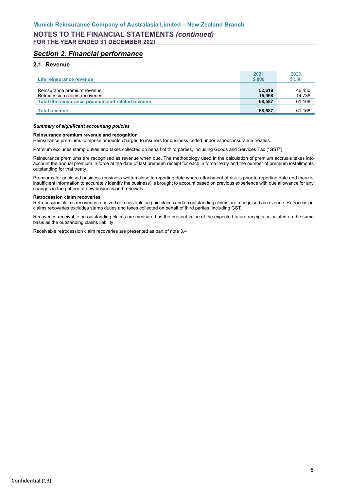## <span id="page-9-0"></span>*Section 2. Financial performance*

### **2.1. Revenue**

| Life reinsurance revenue                                      | 2021<br>\$'000   | 2020<br>\$'000   |
|---------------------------------------------------------------|------------------|------------------|
| Reinsurance premium revenue<br>Retrocession claims recoveries | 52.619<br>15,968 | 46,430<br>14,738 |
| Total life reinsurance premium and related revenue            | 68,587           | 61,168           |
| <b>Total revenue</b>                                          | 68,587           | 61,168           |

#### *Summary of significant accounting policies*

#### **Reinsurance premium revenue and recognition**

Reinsurance premiums comprise amounts charged to insurers for business ceded under various insurance treaties.

Premium excludes stamp duties and taxes collected on behalf of third parties, including Goods and Services Tax ("GST").

Reinsurance premiums are recognised as revenue when due. The methodology used in the calculation of premium accruals takes into account the annual premium in force at the date of last premium receipt for each in force treaty and the number of premium installments outstanding for that treaty.

Premiums for unclosed business (business written close to reporting date where attachment of risk is prior to reporting date and there is insufficient information to accurately identify the business) is brought to account based on previous experience with due allowance for any changes in the pattern of new business and renewals.

#### **Retrocession claim recoveries**

Retrocession claims recoveries received or receivable on paid claims and on outstanding claims are recognised as revenue. Retrocession claims recoveries excludes stamp duties and taxes collected on behalf of third parties, including GST.

Recoveries receivable on outstanding claims are measured as the present value of the expected future receipts calculated on the same basis as the outstanding claims liability.

Receivable retrocession claim recoveries are presented as part of note 3.4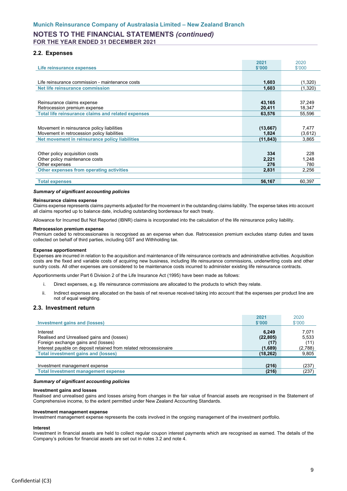### **2.2. Expenses**

| Life reinsurance expenses                                 | 2021<br>\$'000 | 2020<br>\$'000 |
|-----------------------------------------------------------|----------------|----------------|
|                                                           |                |                |
| Life reinsurance commission - maintenance costs           | 1,603          | (1,320)        |
| Net life reinsurance commission                           | 1,603          | (1,320)        |
|                                                           |                |                |
| Reinsurance claims expense                                | 43,165         | 37,249         |
| Retrocession premium expense                              | 20,411         | 18,347         |
| <b>Total life reinsurance claims and related expenses</b> | 63,576         | 55,596         |
|                                                           |                |                |
| Movement in reinsurance policy liabilities                | (13, 667)      | 7,477          |
| Movement in retrocession policy liabilities               | 1.824          | (3,612)        |
| Net movement in reinsurance policy liabilities            | (11, 843)      | 3,865          |
|                                                           |                |                |
| Other policy acquisition costs                            | 334            | 228            |
| Other policy maintenance costs                            | 2,221          | 1.248          |
| Other expenses                                            | 276            | 780            |
| Other expenses from operating activities                  | 2,831          | 2,256          |
|                                                           |                |                |
| <b>Total expenses</b>                                     | 56,167         | 60,397         |

#### *Summary of significant accounting policies*

#### **Reinsurance claims expense**

Claims expense represents claims payments adjusted for the movement in the outstanding claims liability. The expense takes into account all claims reported up to balance date, including outstanding bordereaux for each treaty.

Allowance for Incurred But Not Reported (IBNR) claims is incorporated into the calculation of the life reinsurance policy liability.

#### **Retrocession premium expense**

Premium ceded to retrocessionaires is recognised as an expense when due. Retrocession premium excludes stamp duties and taxes collected on behalf of third parties, including GST and Withholding tax.

#### **Expense apportionment**

Expenses are incurred in relation to the acquisition and maintenance of life reinsurance contracts and administrative activities. Acquisition costs are the fixed and variable costs of acquiring new business, including life reinsurance commissions, underwriting costs and other sundry costs. All other expenses are considered to be maintenance costs incurred to administer existing life reinsurance contracts.

Apportionments under Part 6 Division 2 of the Life Insurance Act (1995) have been made as follows:

- i. Direct expenses, e.g. life reinsurance commissions are allocated to the products to which they relate.
- ii. Indirect expenses are allocated on the basis of net revenue received taking into account that the expenses per product line are not of equal weighting.

### **2.3. Investment return**

|                                                                                               | 2021                       | 2020                   |
|-----------------------------------------------------------------------------------------------|----------------------------|------------------------|
| <b>Investment gains and (losses)</b>                                                          | \$'000                     | \$'000                 |
| Interest<br>Realised and Unrealised gains and (losses)<br>Foreign exchange gains and (losses) | 6.249<br>(22, 805)<br>(17) | 7,071<br>5,533<br>(11) |
| Interest payable on deposit retained from related retrocessionaire                            | (1,689)                    | (2,788)                |
| <b>Total investment gains and (losses)</b>                                                    | (18, 262)                  | 9,805                  |
|                                                                                               |                            |                        |
| Investment management expense                                                                 | (216)                      | (237)                  |
| <b>Total Investment management expense</b>                                                    | (216)                      | (237)                  |

#### *Summary of significant accounting policies*

#### **Investment gains and losses**

Realised and unrealised gains and losses arising from changes in the fair value of financial assets are recognised in the Statement of Comprehensive income, to the extent permitted under New Zealand Accounting Standards.

#### **Investment management expense**

Investment management expense represents the costs involved in the ongoing management of the investment portfolio.

### **Interest**

Investment in financial assets are held to collect regular coupon interest payments which are recognised as earned. The details of the Company's policies for financial assets are set out in notes 3.2 and note 4.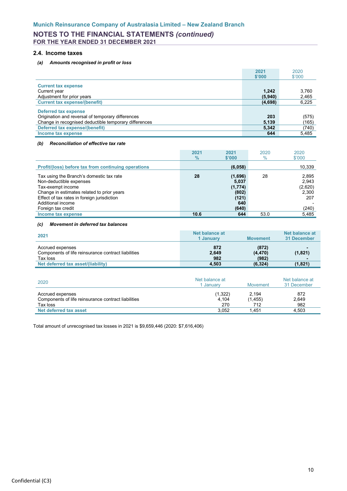### **2.4. Income taxes**

### *(a) Amounts recognised in profit or loss*

|                                                       | 2021    | 2020   |
|-------------------------------------------------------|---------|--------|
|                                                       | \$'000  | \$'000 |
| <b>Current tax expense</b>                            |         |        |
| Current year                                          | 1.242   | 3,760  |
| Adjustment for prior years                            | (5,940) | 2,465  |
| <b>Current tax expense/(benefit)</b>                  | (4,698) | 6,225  |
|                                                       |         |        |
| Deferred tax expense                                  |         |        |
| Origination and reversal of temporary differences     | 203     | (575)  |
| Change in recognised deductible temporary differences | 5,139   | (165)  |
| Deferred tax expense/(benefit)                        | 5,342   | (740)  |
| Income tax expense                                    | 644     | 5,485  |

### *(b) Reconciliation of effective tax rate*

|                                                                     | 2021          | 2021             | 2020 | 2020           |
|---------------------------------------------------------------------|---------------|------------------|------|----------------|
|                                                                     | $\frac{9}{6}$ | \$'000           | $\%$ | \$'000         |
| Profit/(loss) before tax from continuing operations                 |               | (6,058)          |      | 10,339         |
| Tax using the Branch's domestic tax rate<br>Non-deductible expenses | 28            | (1,696)<br>5,037 | 28   | 2,895<br>2,943 |
| Tax-exempt income                                                   |               | (1,774)          |      | (2,620)        |
| Change in estimates related to prior years                          |               | (802)            |      | 2,300          |
| Effect of tax rates in foreign jurisdiction                         |               | (121)            |      | 207            |
| Additional income                                                   |               | 640              |      |                |
| Foreign tax credit                                                  |               | (640)            |      | (240)          |
| Income tax expense                                                  | 10.6          | 644              | 53.0 | 5,485          |

#### *(c) Movement in deferred tax balances*

| 2021                                                                                | Net balance at<br>1 Januarv | <b>Movement</b>            | Net balance at<br>31 December |
|-------------------------------------------------------------------------------------|-----------------------------|----------------------------|-------------------------------|
| Accrued expenses<br>Components of life reinsurance contract liabilities<br>Tax loss | 872<br>2,649<br>982         | (872)<br>(4, 470)<br>(982) | (1,821)                       |
| Net deferred tax asset/(liability)                                                  | 4,503                       | (6, 324)                   | (1, 821)                      |

| 2020                                                                                | Net balance at<br>l Januarv | Movement                 | Net balance at<br>31 December |  |
|-------------------------------------------------------------------------------------|-----------------------------|--------------------------|-------------------------------|--|
| Accrued expenses<br>Components of life reinsurance contract liabilities<br>Tax loss | (1,322)<br>4.104<br>270     | 2.194<br>(1, 455)<br>712 | 872<br>2,649<br>982           |  |
| Net deferred tax asset                                                              | 3.052                       | 1.451                    | 4.503                         |  |

Total amount of unrecognised tax losses in 2021 is \$9,659,446 (2020: \$7,616,406)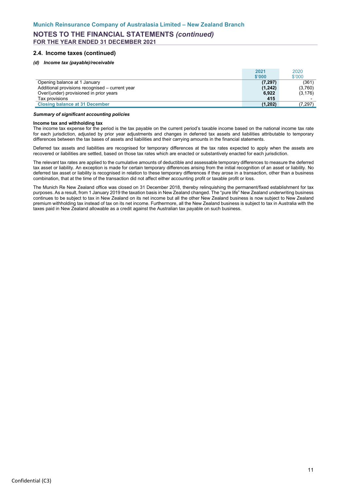### **2.4. Income taxes (continued)**

#### *(d) Income tax (payable)/receivable*

|                                                 | 2021     | 2020     |
|-------------------------------------------------|----------|----------|
|                                                 | \$'000   | \$'000   |
| Opening balance at 1 January                    | (7, 297) | (361)    |
| Additional provisions recognised - current year | (1, 242) | (3,760)  |
| Over/(under) provisioned in prior years         | 6,922    | (3, 176) |
| Tax provisions                                  | 415      |          |
| <b>Closing balance at 31 December</b>           | (1, 202) | (7, 297) |

#### *Summary of significant accounting policies*

#### **Income tax and withholding tax**

The income tax expense for the period is the tax payable on the current period's taxable income based on the national income tax rate for each jurisdiction, adjusted by prior year adjustments and changes in deferred tax assets and liabilities attributable to temporary differences between the tax bases of assets and liabilities and their carrying amounts in the financial statements.

Deferred tax assets and liabilities are recognised for temporary differences at the tax rates expected to apply when the assets are recovered or liabilities are settled, based on those tax rates which are enacted or substantively enacted for each jurisdiction.

The relevant tax rates are applied to the cumulative amounts of deductible and assessable temporary differences to measure the deferred tax asset or liability. An exception is made for certain temporary differences arising from the initial recognition of an asset or liability. No deferred tax asset or liability is recognised in relation to these temporary differences if they arose in a transaction, other than a business combination, that at the time of the transaction did not affect either accounting profit or taxable profit or loss.

The Munich Re New Zealand office was closed on 31 December 2018, thereby relinquishing the permanent/fixed establishment for tax purposes. As a result, from 1 January 2019 the taxation basis in New Zealand changed. The "pure life" New Zealand underwriting business continues to be subject to tax in New Zealand on its net income but all the other New Zealand business is now subject to New Zealand premium withholding tax instead of tax on its net income. Furthermore, all the New Zealand business is subject to tax in Australia with the taxes paid in New Zealand allowable as a credit against the Australian tax payable on such business.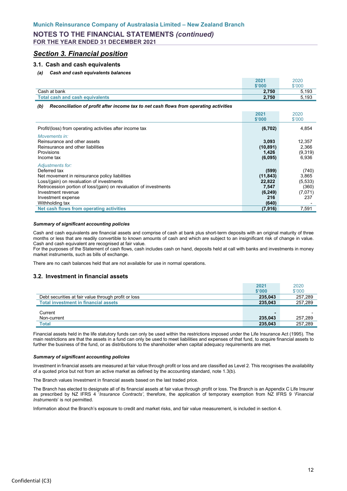## <span id="page-13-0"></span>*Section 3. Financial position*

### **3.1. Cash and cash equivalents**

#### *(a) Cash and cash equivalents balances*

|                                        | 2021   | 2020   |
|----------------------------------------|--------|--------|
|                                        | \$'000 | \$'000 |
| Cash at bank                           | 2.750  | 5.193  |
| <b>Total cash and cash equivalents</b> | 2.750  | 5.193  |
|                                        |        |        |

*(b) Reconciliation of profit after income tax to net cash flows from operating activities*

|                                                                                                                                                                                                                                                                     | 2021<br>\$'000                                                    | 2020<br>\$'000                                        |
|---------------------------------------------------------------------------------------------------------------------------------------------------------------------------------------------------------------------------------------------------------------------|-------------------------------------------------------------------|-------------------------------------------------------|
| Profit/(loss) from operating activities after income tax                                                                                                                                                                                                            | (6, 702)                                                          | 4,854                                                 |
| Movements in:<br>Reinsurance and other assets<br>Reinsurance and other liabilities<br>Provisions<br>Income tax                                                                                                                                                      | 3,093<br>(10, 891)<br>1,426<br>(6,095)                            | 12,357<br>2,366<br>(9,319)<br>6,936                   |
| Adjustments for:<br>Deferred tax<br>Net movement in reinsurance policy liabilities<br>Loss/(gain) on revaluation of investments<br>Retrocession portion of loss/(gain) on revaluation of investments<br>Investment revenue<br>Investment expense<br>Withholding tax | (599)<br>(11, 843)<br>22,822<br>7,547<br>(6, 249)<br>216<br>(640) | (740)<br>3,865<br>(5, 533)<br>(360)<br>(7,071)<br>237 |
| Net cash flows from operating activities                                                                                                                                                                                                                            | (7, 916)                                                          | 7.591                                                 |

#### *Summary of significant accounting policies*

Cash and cash equivalents are financial assets and comprise of cash at bank plus short-term deposits with an original maturity of three months or less that are readily convertible to known amounts of cash and which are subject to an insignificant risk of change in value. Cash and cash equivalent are recognised at fair value.

For the purposes of the Statement of cash flows, cash includes cash on hand, deposits held at call with banks and investments in money market instruments, such as bills of exchange.

There are no cash balances held that are not available for use in normal operations.

### **3.2. Investment in financial assets**

|                                                      | 2021    | 2020                     |
|------------------------------------------------------|---------|--------------------------|
|                                                      | \$'000  | \$'000                   |
| Debt securities at fair value through profit or loss | 235.043 | 257.289                  |
| <b>Total investment in financial assets</b>          | 235.043 | 257.289                  |
|                                                      |         |                          |
|                                                      |         |                          |
| Current                                              | ۰       | $\overline{\phantom{0}}$ |
| Non-current                                          | 235.043 | 257.289                  |

Financial assets held in the life statutory funds can only be used within the restrictions imposed under the Life Insurance Act (1995). The main restrictions are that the assets in a fund can only be used to meet liabilities and expenses of that fund, to acquire financial assets to further the business of the fund, or as distributions to the shareholder when capital adequacy requirements are met.

#### *Summary of significant accounting policies*

Investment in financial assets are measured at fair value through profit or loss and are classified as Level 2. This recognises the availability of a quoted price but not from an active market as defined by the accounting standard, note 1.3(b).

The Branch values Investment in financial assets based on the last traded price.

The Branch has elected to designate all of its financial assets at fair value through profit or loss. The Branch is an Appendix C Life Insurer as prescribed by NZ IFRS 4 '*Insurance Contracts'*, therefore, the application of temporary exemption from NZ IFRS 9 '*Financial Instruments*' is not permitted.

Information about the Branch's exposure to credit and market risks, and fair value measurement, is included in section 4.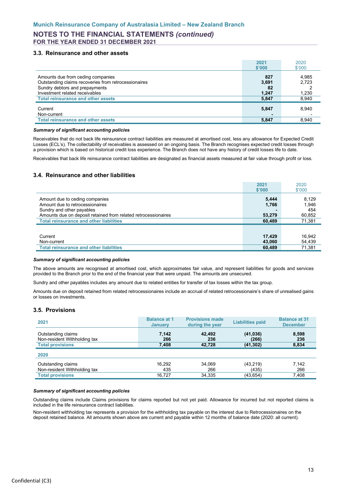### **3.3. Reinsurance and other assets**

|                                                                                                                                                               | 2021<br>\$'000              | 2020<br>\$'000          |
|---------------------------------------------------------------------------------------------------------------------------------------------------------------|-----------------------------|-------------------------|
| Amounts due from ceding companies<br>Outstanding claims recoveries from retrocessionaires<br>Sundry debtors and prepayments<br>Investment related receivables | 827<br>3,691<br>82<br>1.247 | 4,985<br>2,723<br>1,230 |
| <b>Total reinsurance and other assets</b>                                                                                                                     | 5,847                       | 8,940                   |
| Current<br>Non-current                                                                                                                                        | 5,847                       | 8,940                   |
| <b>Total reinsurance and other assets</b>                                                                                                                     | 5,847                       | 8,940                   |

#### *Summary of significant accounting policies*

Receivables that do not back life reinsurance contract liabilities are measured at amortised cost, less any allowance for Expected Credit Losses (ECL's). The collectability of receivables is assessed on an ongoing basis. The Branch recognises expected credit losses through a provision which is based on historical credit loss experience. The Branch does not have any history of credit losses life to date.

Receivables that back life reinsurance contract liabilities are designated as financial assets measured at fair value through profit or loss.

### **3.4. Reinsurance and other liabilities**

|                                                                | 2021             | 2020             |
|----------------------------------------------------------------|------------------|------------------|
|                                                                | \$'000           | \$'000           |
| Amount due to ceding companies                                 | 5,444            | 8,129            |
| Amount due to retrocessionaires                                | 1,766            | 1,946            |
| Sundry and other payables                                      |                  | 454              |
| Amounts due on deposit retained from related retrocessionaires | 53,279           | 60,852           |
| <b>Total reinsurance and other liabilities</b>                 | 60,489           | 71,381           |
|                                                                |                  |                  |
| Current<br>Non-current                                         | 17,429<br>43,060 | 16,942<br>54,439 |
| <b>Total reinsurance and other liabilities</b>                 | 60,489           | 71,381           |

#### *Summary of significant accounting policies*

The above amounts are recognised at amortised cost, which approximates fair value, and represent liabilities for goods and services provided to the Branch prior to the end of the financial year that were unpaid. The amounts are unsecured.

Sundry and other payables includes any amount due to related entities for transfer of tax losses within the tax group.

Amounts due on deposit retained from related retrocessionaires include an accrual of related retrocessionaire's share of unrealised gains or losses on investments.

### **3.5. Provisions**

| 2021                         | <b>Balance at 1</b><br><b>January</b> | <b>Provisions made</b><br>during the year | <b>Liabilities paid</b> | <b>Balance at 31</b><br><b>December</b> |
|------------------------------|---------------------------------------|-------------------------------------------|-------------------------|-----------------------------------------|
| Outstanding claims           | 7,142                                 | 42,492                                    | (41, 036)               | 8,598                                   |
| Non-resident Withholding tax | 266                                   | 236                                       | (266)                   | 236                                     |
| <b>Total provisions</b>      | 7,408                                 | 42,728                                    | (41, 302)               | 8,834                                   |
| 2020                         |                                       |                                           |                         |                                         |
| Outstanding claims           | 16,292                                | 34,069                                    | (43, 219)               | 7,142                                   |
| Non-resident Withholding tax | 435                                   | 266                                       | (435)                   | 266                                     |
| <b>Total provisions</b>      | 16,727                                | 34,335                                    | (43, 654)               | 7,408                                   |

#### *Summary of significant accounting policies*

Outstanding claims include Claims provisions for claims reported but not yet paid. Allowance for incurred but not reported claims is included in the life reinsurance contract liabilities.

Non-resident withholding tax represents a provision for the withholding tax payable on the interest due to Retrocessionaires on the deposit retained balance. All amounts shown above are current and payable within 12 months of balance date (2020: all current).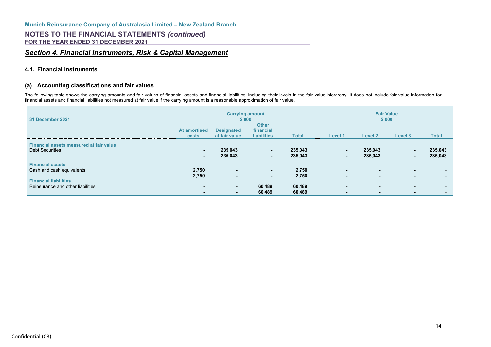## *Section 4. Financial instruments, Risk & Capital Management*

### **4.1. Financial instruments**

### **(a) Accounting classifications and fair values**

The following table shows the carrying amounts and fair values of financial assets and financial liabilities, including their levels in the fair value hierarchy. It does not include fair value information for financial assets and financial liabilities not measured at fair value if the carrying amount is a reasonable approximation of fair value.

<span id="page-15-0"></span>

| 31 December 2021                        | <b>Carrying amount</b><br>\$'000    |                                    |                                                 |              | <b>Fair Value</b><br>\$'000 |                |         |                |
|-----------------------------------------|-------------------------------------|------------------------------------|-------------------------------------------------|--------------|-----------------------------|----------------|---------|----------------|
|                                         | <b>At amortised</b><br><b>costs</b> | <b>Designated</b><br>at fair value | <b>Other</b><br>financial<br><b>liabilities</b> | <b>Total</b> | Level 1                     | Level 2        | Level 3 | <b>Total</b>   |
| Financial assets measured at fair value |                                     |                                    |                                                 |              |                             |                |         |                |
| <b>Debt Securities</b>                  | $\sim$                              | 235.043                            | $\sim$                                          | 235,043      | . .                         | 235,043        | $\sim$  | 235,043        |
|                                         | ۰.                                  | 235,043                            |                                                 | 235,043      | ۰.                          | 235,043        | н.      | 235,043        |
| <b>Financial assets</b>                 |                                     |                                    |                                                 |              |                             |                |         |                |
| Cash and cash equivalents               | 2,750                               |                                    | ۰.                                              | 2,750        | $\sim$                      |                | $\sim$  |                |
|                                         | 2,750                               |                                    | $\sim$                                          | 2,750        | $\blacksquare$              | ۰              | $\sim$  | $\sim$         |
| <b>Financial liabilities</b>            |                                     |                                    |                                                 |              |                             |                |         |                |
| Reinsurance and other liabilities       | $\sim$                              |                                    | 60,489                                          | 60,489       | $\overline{\phantom{a}}$    | $\blacksquare$ | $\sim$  | $\blacksquare$ |
|                                         | $\blacksquare$                      |                                    | 60,489                                          | 60,489       | $\blacksquare$              |                | $\sim$  | $\sim$         |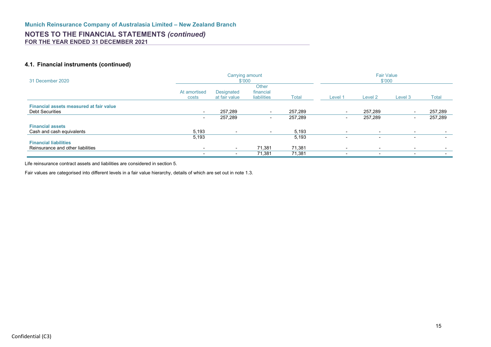### **4.1. Financial instruments (continued)**

| 31 December 2020                                                  |                          | \$'000                      | Carrying amount                          |              | <b>Fair Value</b><br>\$'000 |                          |                          |         |
|-------------------------------------------------------------------|--------------------------|-----------------------------|------------------------------------------|--------------|-----------------------------|--------------------------|--------------------------|---------|
|                                                                   | At amortised<br>costs    | Designated<br>at fair value | <b>Other</b><br>financial<br>liabilities | <b>Total</b> | Level 1                     | Level 2                  | Level 3                  | Total   |
| Financial assets measured at fair value<br><b>Debt Securities</b> | $\overline{\phantom{a}}$ | 257,289                     |                                          | 257,289      |                             | 257.289                  |                          | 257,289 |
|                                                                   | $\overline{\phantom{a}}$ | 257,289                     | $\overline{\phantom{a}}$                 | 257,289      | $\overline{\phantom{a}}$    | 257,289                  | $\sim$                   | 257,289 |
| <b>Financial assets</b>                                           |                          |                             |                                          |              |                             |                          |                          |         |
| Cash and cash equivalents                                         | 5,193                    |                             | $\overline{\phantom{0}}$                 | 5,193        |                             | $\sim$                   | $\overline{\phantom{a}}$ | $\sim$  |
|                                                                   | 5,193                    |                             |                                          | 5,193        |                             |                          | $\overline{\phantom{0}}$ | $\sim$  |
| <b>Financial liabilities</b>                                      |                          |                             |                                          |              |                             |                          |                          |         |
| Reinsurance and other liabilities                                 | $\overline{\phantom{a}}$ | . .                         | 71,381                                   | 71,381       | $\overline{\phantom{0}}$    | $\overline{\phantom{a}}$ | $\overline{\phantom{a}}$ | $\sim$  |
|                                                                   | $\overline{\phantom{0}}$ |                             | 71,381                                   | 71,381       | $\overline{\phantom{0}}$    | $\overline{\phantom{0}}$ | $\overline{\phantom{0}}$ | $\sim$  |

Life reinsurance contract assets and liabilities are considered in section 5.

Fair values are categorised into different levels in a fair value hierarchy, details of which are set out in note 1.3.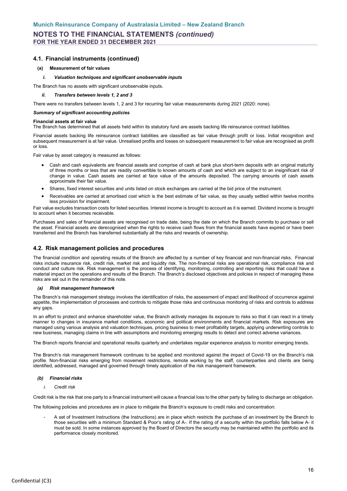### **4.1. Financial instruments (continued)**

#### **(a) Measurement of fair values**

#### *i. Valuation techniques and significant unobservable inputs*

The Branch has no assets with significant unobservable inputs.

#### *ii. Transfers between levels 1, 2 and 3*

There were no transfers between levels 1, 2 and 3 for recurring fair value measurements during 2021 (2020: none).

#### *Summary of significant accounting policies*

#### **Financial assets at fair value**

The Branch has determined that all assets held within its statutory fund are assets backing life reinsurance contract liabilities.

Financial assets backing life reinsurance contract liabilities are classified as fair value through profit or loss. Initial recognition and subsequent measurement is at fair value. Unrealised profits and losses on subsequent measurement to fair value are recognised as profit or loss.

Fair value by asset category is measured as follows:

- Cash and cash equivalents are financial assets and comprise of cash at bank plus short-term deposits with an original maturity of three months or less that are readily convertible to known amounts of cash and which are subject to an insignificant risk of change in value. Cash assets are carried at face value of the amounts deposited. The carrying amounts of cash assets approximate their fair value.
- Shares, fixed interest securities and units listed on stock exchanges are carried at the bid price of the instrument.
- Receivables are carried at amortised cost which is the best estimate of fair value, as they usually settled within twelve months less provision for impairment.

Fair value excludes transaction costs for listed securities. Interest income is brought to account as it is earned. Dividend income is brought to account when it becomes receivable.

Purchases and sales of financial assets are recognised on trade date, being the date on which the Branch commits to purchase or sell the asset. Financial assets are derecognised when the rights to receive cash flows from the financial assets have expired or have been transferred and the Branch has transferred substantially all the risks and rewards of ownership.

### **4.2. Risk management policies and procedures**

The financial condition and operating results of the Branch are affected by a number of key financial and non-financial risks. Financial risks include insurance risk, credit risk, market risk and liquidity risk. The non-financial risks are operational risk, compliance risk and conduct and culture risk. Risk management is the process of identifying, monitoring, controlling and reporting risks that could have a material impact on the operations and results of the Branch. The Branch's disclosed objectives and policies in respect of managing these risks are set out in the remainder of this note.

#### *(a) Risk management framework*

The Branch's risk management strategy involves the identification of risks, the assessment of impact and likelihood of occurrence against appetite, the implementation of processes and controls to mitigate those risks and continuous monitoring of risks and controls to address any gaps.

In an effort to protect and enhance shareholder value, the Branch actively manages its exposure to risks so that it can react in a timely manner to changes in insurance market conditions, economic and political environments and financial markets. Risk exposures are managed using various analysis and valuation techniques, pricing business to meet profitability targets, applying underwriting controls to new business, managing claims in line with assumptions and monitoring emerging results to detect and correct adverse variances.

The Branch reports financial and operational results quarterly and undertakes regular experience analysis to monitor emerging trends.

The Branch's risk management framework continues to be applied and monitored against the impact of Covid-19 on the Branch's risk profile. Non-financial risks emerging from movement restrictions, remote working by the staff, counterparties and clients are being identified, addressed, managed and governed through timely application of the risk management framework.

#### *(b) Financial risks*

*i. Credit risk*

Credit risk is the risk that one party to a financial instrument will cause a financial loss to the other party by failing to discharge an obligation.

The following policies and procedures are in place to mitigate the Branch's exposure to credit risks and concentration:

A set of Investment Instructions (the Instructions) are in place which restricts the purchase of an investment by the Branch to those securities with a minimum Standard & Poor's rating of A-. If the rating of a security within the portfolio falls below A- it must be sold. In some instances approved by the Board of Directors the security may be maintained within the portfolio and its performance closely monitored.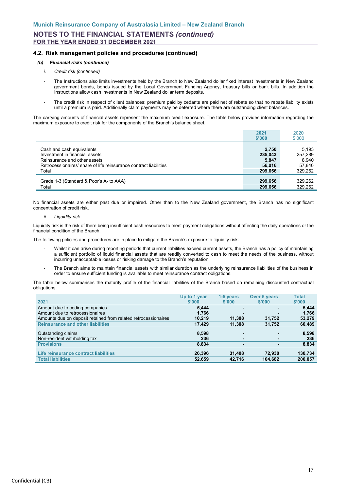### **4.2. Risk management policies and procedures (continued)**

### *(b) Financial risks (continued)*

- *i. Credit risk (continued)*
- The Instructions also limits investments held by the Branch to New Zealand dollar fixed interest investments in New Zealand government bonds, bonds issued by the Local Government Funding Agency, treasury bills or bank bills. In addition the Instructions allow cash investments in New Zealand dollar term deposits.
- The credit risk in respect of client balances: premium paid by cedants are paid net of rebate so that no rebate liability exists until a premium is paid. Additionally claim payments may be deferred where there are outstanding client balances.

The carrying amounts of financial assets represent the maximum credit exposure. The table below provides information regarding the maximum exposure to credit risk for the components of the Branch's balance sheet.

|                                                                   | 2021<br>\$'000 | 2020<br>\$'000 |
|-------------------------------------------------------------------|----------------|----------------|
| Cash and cash equivalents                                         | 2,750          | 5.193          |
| Investment in financial assets                                    | 235.043        | 257.289        |
| Reinsurance and other assets                                      | 5,847          | 8.940          |
| Retrocessionaires' share of life reinsurance contract liabilities | 56,016         | 57,840         |
| Total                                                             | 299.656        | 329,262        |
| Grade 1-3 (Standard & Poor's A- to AAA)                           | 299,656        | 329,262        |
| Total                                                             | 299,656        | 329,262        |

No financial assets are either past due or impaired. Other than to the New Zealand government, the Branch has no significant concentration of credit risk.

*ii. Liquidity risk*

Liquidity risk is the risk of there being insufficient cash resources to meet payment obligations without affecting the daily operations or the financial condition of the Branch.

The following policies and procedures are in place to mitigate the Branch's exposure to liquidity risk:

- Whilst it can arise during reporting periods that current liabilities exceed current assets, the Branch has a policy of maintaining a sufficient portfolio of liquid financial assets that are readily converted to cash to meet the needs of the business, without incurring unacceptable losses or risking damage to the Branch's reputation.
- The Branch aims to maintain financial assets with similar duration as the underlying reinsurance liabilities of the business in order to ensure sufficient funding is available to meet reinsurance contract obligations.

The table below summarises the maturity profile of the financial liabilities of the Branch based on remaining discounted contractual obligations.

|                                                                | Up to 1 year | 1-5 years       | Over 5 years    | <b>Total</b> |
|----------------------------------------------------------------|--------------|-----------------|-----------------|--------------|
| 2021                                                           | \$'000       | $$^{\prime}000$ | $$^{\prime}000$ | \$'000       |
| Amount due to ceding companies                                 | 5.444        |                 |                 | 5,444        |
| Amount due to retrocessionaires                                | 1,766        |                 |                 | 1,766        |
| Amounts due on deposit retained from related retrocessionaires | 10.219       | 11,308          | 31,752          | 53,279       |
| <b>Reinsurance and other liabilities</b>                       | 17,429       | 11,308          | 31,752          | 60,489       |
|                                                                |              |                 |                 |              |
| Outstanding claims                                             | 8,598        |                 | -               | 8,598        |
| Non-resident withholding tax                                   | 236          | ۰               |                 | 236          |
| <b>Provisions</b>                                              | 8,834        |                 |                 | 8,834        |
|                                                                |              |                 |                 |              |
| Life reinsurance contract liabilities                          | 26,396       | 31,408          | 72,930          | 130,734      |
| <b>Total liabilities</b>                                       | 52,659       | 42,716          | 104,682         | 200,057      |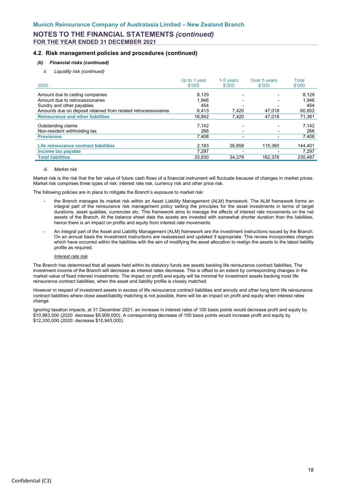### **4.2. Risk management policies and procedures (continued)**

### *(b) Financial risks (continued)*

*ii. Liquidity risk (continued)*

| 2020                                                           | Up to 1 year<br>\$'000 | 1-5 years<br>\$'000                | Over 5 years<br>\$'000              | Total<br>\$'000  |
|----------------------------------------------------------------|------------------------|------------------------------------|-------------------------------------|------------------|
| Amount due to ceding companies                                 | 8.129                  |                                    | $\blacksquare$                      | 8.129            |
| Amount due to retrocessionaires                                | 1.946                  |                                    | $\overline{\phantom{0}}$            | 1,946            |
| Sundry and other payables                                      | 454                    |                                    | $\overline{\phantom{0}}$            | 454              |
| Amounts due on deposit retained from related retrocessionaires | 6.413                  | 7.420                              | 47.018                              | 60,852           |
| <b>Reinsurance and other liabilities</b>                       | 16.942                 | 7.420                              | 47.018                              | 71,381           |
| Outstanding claims<br>Non-resident withholding tax             | 7.142<br>266           |                                    | -                                   | 7.142<br>266     |
| <b>Provisions</b>                                              | 7.408                  |                                    | -                                   | 7,408            |
| Life reinsurance contract liabilities<br>Income tax payable    | 2.183<br>7.297         | 26.858<br>$\overline{\phantom{0}}$ | 115.360<br>$\overline{\phantom{0}}$ | 144,401<br>7,297 |
| <b>Total liabilities</b>                                       | 33.830                 | 34.278                             | 162.378                             | 230.487          |

#### *iii. Market risk*

Market risk is the risk that the fair value of future cash flows of a financial instrument will fluctuate because of changes in market prices. Market risk comprises three types of risk: interest rate risk, currency risk and other price risk.

The following policies are in place to mitigate the Branch's exposure to market risk:

- the Branch manages its market risk within an Asset Liability Management (ALM) framework. The ALM framework forms an integral part of the reinsurance risk management policy setting the principles for the asset investments in terms of target durations, asset qualities, currencies etc. This framework aims to manage the effects of interest rate movements on the net assets of the Branch. At the balance sheet date the assets are invested with somewhat shorter duration than the liabilities, hence there is an impact on profits and equity from interest rate movements.
- An integral part of the Asset and Liability Management (ALM) framework are the investment instructions issued by the Branch. On an annual basis the investment instructions are reassessed and updated if appropriate. This review incorporates changes which have occurred within the liabilities with the aim of modifying the asset allocation to realign the assets to the latest liability profile as required.

#### *Interest rate risk*

The Branch has determined that all assets held within its statutory funds are assets backing life reinsurance contract liabilities. The investment income of the Branch will decrease as interest rates decrease. This is offset to an extent by corresponding changes in the market value of fixed interest investments. The impact on profit and equity will be minimal for investment assets backing most life reinsurance contract liabilities, when the asset and liability profile is closely matched.

However in respect of investment assets in excess of life reinsurance contract liabilities and annuity and other long term life reinsurance contract liabilities where close asset/liability matching is not possible, there will be an impact on profit and equity when interest rates change.

Ignoring taxation impacts, at 31 December 2021, an increase in interest rates of 100 basis points would decrease profit and equity by \$10,983,000 (2020: decrease \$9,909,000). A corresponding decrease of 100 basis points would increase profit and equity by \$12,330,000 (2020: decrease \$10,943,000).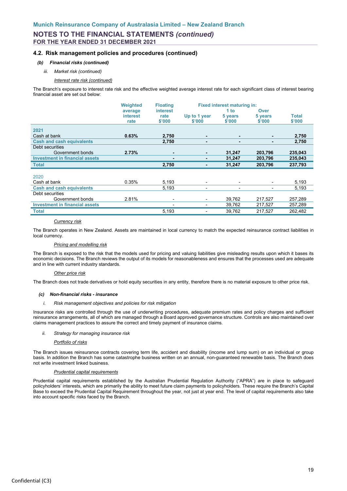### **4.2. Risk management policies and procedures (continued)**

### *(b) Financial risks (continued)*

#### *iii. Market risk (continued)*

*Interest rate risk (continued)*

The Branch's exposure to interest rate risk and the effective weighted average interest rate for each significant class of interest bearing financial asset are set out below:

|                                       | <b>Weighted</b> | <b>Floating</b> |                          | <b>Fixed interest maturing in:</b> |         |              |
|---------------------------------------|-----------------|-----------------|--------------------------|------------------------------------|---------|--------------|
|                                       | average         | <b>interest</b> |                          | 1 <sub>to</sub>                    | Over    |              |
|                                       | interest        | rate            | Up to 1 year             | 5 years                            | 5 years | <b>Total</b> |
|                                       | rate            | \$'000          | \$'000                   | \$'000                             | \$'000  | \$'000       |
| 2021                                  |                 |                 |                          |                                    |         |              |
| Cash at bank                          | 0.63%           | 2,750           | $\blacksquare$           |                                    | ٠       | 2,750        |
| <b>Cash and cash equivalents</b>      |                 | 2,750           | ٠                        | ۰                                  | ۰       | 2,750        |
| Debt securities                       |                 |                 |                          |                                    |         |              |
| Government bonds                      | 2.73%           |                 | ٠                        | 31,247                             | 203,796 | 235,043      |
| <b>Investment in financial assets</b> |                 |                 | ۰                        | 31,247                             | 203,796 | 235,043      |
| <b>Total</b>                          |                 | 2,750           |                          | 31,247                             | 203,796 | 237,793      |
|                                       |                 |                 |                          |                                    |         |              |
| 2020                                  |                 |                 |                          |                                    |         |              |
| Cash at bank                          | 0.35%           | 5,193           | $\overline{\phantom{a}}$ | $\overline{\phantom{0}}$           |         | 5,193        |
| <b>Cash and cash equivalents</b>      |                 | 5,193           | -                        | $\overline{\phantom{0}}$           | Ξ.      | 5,193        |
| Debt securities                       |                 |                 |                          |                                    |         |              |
| Government bonds                      | 2.81%           |                 | -                        | 39,762                             | 217,527 | 257,289      |
| <b>Investment in financial assets</b> |                 |                 | $\overline{\phantom{0}}$ | 39,762                             | 217,527 | 257,289      |
| <b>Total</b>                          |                 | 5,193           |                          | 39,762                             | 217,527 | 262,482      |

#### *Currency risk*

The Branch operates in New Zealand. Assets are maintained in local currency to match the expected reinsurance contract liabilities in local currency.

#### *Pricing and modelling risk*

The Branch is exposed to the risk that the models used for pricing and valuing liabilities give misleading results upon which it bases its economic decisions. The Branch reviews the output of its models for reasonableness and ensures that the processes used are adequate and in line with current industry standards.

#### *Other price risk*

The Branch does not trade derivatives or hold equity securities in any entity, therefore there is no material exposure to other price risk.

#### *(c) Non-financial risks - insurance*

#### *i. Risk management objectives and policies for risk mitigation*

Insurance risks are controlled through the use of underwriting procedures, adequate premium rates and policy charges and sufficient reinsurance arrangements, all of which are managed through a Board approved governance structure. Controls are also maintained over claims management practices to assure the correct and timely payment of insurance claims.

#### *ii. Strategy for managing insurance risk*

#### *Portfolio of risks*

The Branch issues reinsurance contracts covering term life, accident and disability (income and lump sum) on an individual or group basis. In addition the Branch has some catastrophe business written on an annual, non-guaranteed renewable basis. The Branch does not write investment linked business.

#### *Prudential capital requirements*

Prudential capital requirements established by the Australian Prudential Regulation Authority ("APRA") are in place to safeguard policyholders' interests, which are primarily the ability to meet future claim payments to policyholders. These require the Branch's Capital Base to exceed the Prudential Capital Requirement throughout the year, not just at year end. The level of capital requirements also take into account specific risks faced by the Branch.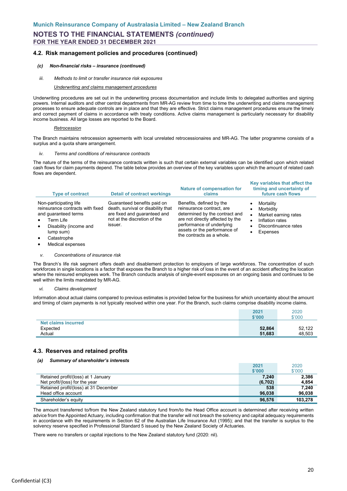### **4.2. Risk management policies and procedures (continued)**

#### *(c) Non-financial risks – insurance (continued)*

*iii. Methods to limit or transfer insurance risk exposures*

#### *Underwriting and claims management procedures*

Underwriting procedures are set out in the underwriting process documentation and include limits to delegated authorities and signing powers. Internal auditors and other central departments from MR-AG review from time to time the underwriting and claims management processes to ensure adequate controls are in place and that they are effective. Strict claims management procedures ensure the timely and correct payment of claims in accordance with treaty conditions. Active claims management is particularly necessary for disability income business. All large losses are reported to the Board.

#### *Retrocession*

The Branch maintains retrocession agreements with local unrelated retrocessionaires and MR-AG. The latter programme consists of a surplus and a quota share arrangement.

#### *Terms and conditions of reinsurance contracts*

The nature of the terms of the reinsurance contracts written is such that certain external variables can be identified upon which related cash flows for claim payments depend. The table below provides an overview of the key variables upon which the amount of related cash flows are dependent.

| <b>Type of contract</b>                                                                                                                                                                                                       | <b>Detail of contract workings</b>                                                                                                           | <b>Nature of compensation for</b><br>claims                                                                                                                                                                           | timing and uncertainty of<br>future cash flows                                                        |
|-------------------------------------------------------------------------------------------------------------------------------------------------------------------------------------------------------------------------------|----------------------------------------------------------------------------------------------------------------------------------------------|-----------------------------------------------------------------------------------------------------------------------------------------------------------------------------------------------------------------------|-------------------------------------------------------------------------------------------------------|
| Non-participating life<br>reinsurance contracts with fixed<br>and guaranteed terms<br>Term Life<br>$\bullet$<br>Disability (income and<br>$\bullet$<br>lump sum)<br>Catastrophe<br>$\bullet$<br>Medical expenses<br>$\bullet$ | Guaranteed benefits paid on<br>death, survival or disability that<br>are fixed and guaranteed and<br>not at the discretion of the<br>issuer. | Benefits, defined by the<br>reinsurance contract, are<br>determined by the contract and<br>are not directly affected by the<br>performance of underlying<br>assets or the performance of<br>the contracts as a whole. | Mortality<br>Morbidity<br>Market earning rates<br>Inflation rates<br>Discontinuance rates<br>Expenses |

#### *v. Concentrations of insurance risk*

The Branch's life risk segment offers death and disablement protection to employers of large workforces. The concentration of such workforces in single locations is a factor that exposes the Branch to a higher risk of loss in the event of an accident affecting the location where the reinsured employees work. The Branch conducts analysis of single-event exposures on an ongoing basis and continues to be well within the limits mandated by MR-AG.

#### *vi. Claims development*

Information about actual claims compared to previous estimates is provided below for the business for which uncertainty about the amount and timing of claim payments is not typically resolved within one year. For the Branch, such claims comprise disability income claims.

|                                 | 2021<br>\$'000 | 2020<br>\$'000 |
|---------------------------------|----------------|----------------|
| Net claims incurred<br>Expected | 52,864         | 52,122         |
|                                 |                |                |
| Actual                          | 51,683         | 48,503         |

### **4.3. Reserves and retained profits**

#### *(a) Summary of shareholder's interests*

|                                       | 2021    | 2020    |
|---------------------------------------|---------|---------|
|                                       | \$'000  | \$'000  |
| Retained profit/(loss) at 1 January   | 7.240   | 2.386   |
| Net profit/(loss) for the year        | (6,702) | 4,854   |
| Retained profit/(loss) at 31 December | 538     | 7.240   |
| Head office account                   | 96.038  | 96.038  |
| Shareholder's equity                  | 96,576  | 103.278 |

The amount transferred to/from the New Zealand statutory fund from/to the Head Office account is determined after receiving written advice from the Appointed Actuary, including confirmation that the transfer will not breach the solvency and capital adequacy requirements in accordance with the requirements in Section 62 of the Australian Life Insurance Act (1995); and that the transfer is surplus to the solvency reserve specified in Professional Standard 5 issued by the New Zealand Society of Actuaries.

There were no transfers or capital injections to the New Zealand statutory fund (2020: nil).

**Key variables that affect the**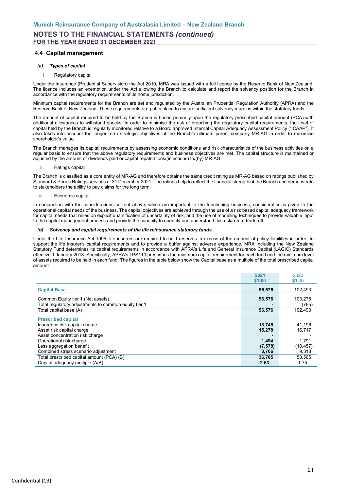### **4.4 Capital management**

### *(a) Types of capital*

#### i. Regulatory capital

Under the Insurance (Prudential Supervision) the Act 2010, MRA was issued with a full licence by the Reserve Bank of New Zealand. The licence includes an exemption under the Act allowing the Branch to calculate and report the solvency position for the Branch in accordance with the regulatory requirements of its home jurisdiction.

Minimum capital requirements for the Branch are set and regulated by the Australian Prudential Regulation Authority (APRA) and the Reserve Bank of New Zealand. These requirements are put in place to ensure sufficient solvency margins within the statutory funds.

The amount of capital required to be held by the Branch is based primarily upon the regulatory prescribed capital amount (PCA) with additional allowances to withstand shocks. In order to minimise the risk of breaching the regulatory capital requirements, the level of capital held by the Branch is regularly monitored relative to a Board approved Internal Capital Adequacy Assessment Policy ("ICAAP"). It also takes into account the longer term strategic objectives of the Branch's ultimate parent company MR-AG in order to maximise shareholder's value.

The Branch manages its capital requirements by assessing economic conditions and risk characteristics of the business activities on a regular basis to ensure that the above regulatory requirements and business objectives are met. The capital structure is maintained or adjusted by the amount of dividends paid or capital repatriations/(injections) to/(by) MR-AG.

ii. Ratings capital

The Branch is classified as a core entity of MR-AG and therefore obtains the same credit rating as MR-AG based on ratings published by Standard & Poor's Ratings services at 31 December 2021. The ratings help to reflect the financial strength of the Branch and demonstrate to stakeholders the ability to pay claims for the long term.

iii. Economic capital

In conjunction with the considerations set out above, which are important to the functioning business, consideration is given to the operational capital needs of the business. The capital objectives are achieved through the use of a risk based capital adequacy framework for capital needs that relies on explicit quantification of uncertainty of risk, and the use of modelling techniques to provide valuable input to the capital management process and provide the capacity to quantify and understand this risk/return trade-off.

### *(b) Solvency and capital requirements of the life reinsurance statutory funds*

Under the Life Insurance Act 1995, life insurers are required to hold reserves in excess of the amount of policy liabilities in order to support the life insurer's capital requirements and to provide a buffer against adverse experience. MRA including the New Zealand Statutory Fund determines its capital requirements in accordance with APRA's Life and General Insurance Capital (LAGIC) Standards effective 1 January 2013. Specifically, APRA's LPS110 prescribes the minimum capital requirement for each fund and the minimum level of assets required to be held in each fund. The figures in the table below show the Capital base as a multiple of the total prescribed capital amount.

|                                                      | 2021     | 2020      |
|------------------------------------------------------|----------|-----------|
|                                                      | \$'000   | \$'000    |
| <b>Capital Base</b>                                  | 96,576   | 102,493   |
|                                                      |          |           |
| Common Equity tier 1 (Net assets)                    | 96,576   | 103.278   |
| Total regulatory adjustments to common equity tier 1 |          | (785)     |
| Total capital base (A)                               | 96,576   | 102,493   |
| <b>Prescribed capital</b>                            |          |           |
| Insurance risk capital charge                        | 18.745   | 41,196    |
| Asset risk capital charge                            | 15,278   | 16,717    |
| Asset concentration risk charge                      |          |           |
| Operational risk charge                              | 1,494    | 1.791     |
| Less aggregation benefit                             | (7, 578) | (10, 457) |
| Combined stress scenario adjustment                  | 8,766    | 9,318     |
| Total prescribed capital amount (PCA) (B)            | 36,705   | 58,565    |
| Capital adequacy multiple (A/B)                      | 2.63     | 1.75      |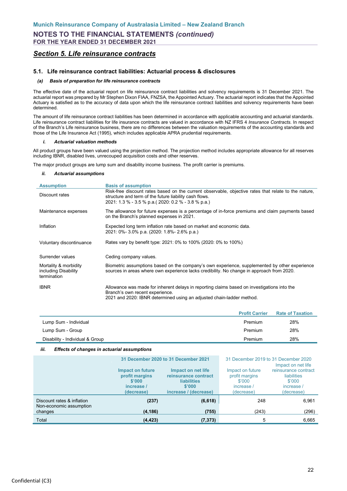## <span id="page-23-0"></span>*Section 5. Life reinsurance contracts*

### **5.1. Life reinsurance contract liabilities: Actuarial process & disclosures**

#### *(a) Basis of preparation for life reinsurance contracts*

The effective date of the actuarial report on life reinsurance contract liabilities and solvency requirements is 31 December 2021. The actuarial report was prepared by Mr Stephen Dixon FIAA, FNZSA, the Appointed Actuary. The actuarial report indicates that the Appointed Actuary is satisfied as to the accuracy of data upon which the life reinsurance contract liabilities and solvency requirements have been determined.

The amount of life reinsurance contract liabilities has been determined in accordance with applicable accounting and actuarial standards. Life reinsurance contract liabilities for life insurance contracts are valued in accordance with NZ IFRS 4 *Insurance Contracts*. In respect of the Branch's Life reinsurance business, there are no differences between the valuation requirements of the accounting standards and those of the Life Insurance Act (1995), which includes applicable APRA prudential requirements.

#### *i. Actuarial valuation methods*

All product groups have been valued using the projection method. The projection method includes appropriate allowance for all reserves including IBNR, disabled lives, unrecouped acquisition costs and other reserves.

The major product groups are lump sum and disability income business. The profit carrier is premiums.

#### *ii. Actuarial assumptions*

| <b>Assumption</b>                                            | <b>Basis of assumption</b>                                                                                                                                                                                            |
|--------------------------------------------------------------|-----------------------------------------------------------------------------------------------------------------------------------------------------------------------------------------------------------------------|
| Discount rates                                               | Risk-free discount rates based on the current observable, objective rates that relate to the nature,<br>structure and term of the future liability cash flows.<br>2021: 1.3 % - 3.5 % p.a. (2020: 0.2 % - 3.8 % p.a.) |
| Maintenance expenses                                         | The allowance for future expenses is a percentage of in-force premiums and claim payments based<br>on the Branch's planned expenses in 2021.                                                                          |
| Inflation                                                    | Expected long term inflation rate based on market and economic data.<br>2021: 0%- 3.0% p.a. (2020: 1.8%- 2.6% p.a.)                                                                                                   |
| Voluntary discontinuance                                     | Rates vary by benefit type: 2021: 0% to 100% (2020: 0% to 100%)                                                                                                                                                       |
| Surrender values                                             | Ceding company values.                                                                                                                                                                                                |
| Mortality & morbidity<br>including Disability<br>termination | Biometric assumptions based on the company's own experience, supplemented by other experience<br>sources in areas where own experience lacks credibility. No change in approach from 2020.                            |
| <b>IBNR</b>                                                  | Allowance was made for inherent delays in reporting claims based on investigations into the<br>Branch's own recent experience.<br>2021 and 2020: IBNR determined using an adjusted chain-ladder method.               |

|                                 | <b>Profit Carrier</b> | <b>Rate of Taxation</b> |
|---------------------------------|-----------------------|-------------------------|
| Lump Sum - Individual           | Premium               | 28%                     |
| Lump Sum - Group                | Premium               | 28%                     |
| Disability - Individual & Group | Premium               | 28%                     |
|                                 |                       |                         |

### *iii. Effects of changes in actuarial assumptions*

|                                                       | 31 December 2020 to 31 December 2021                                            |                                                                                                     | 31 December 2019 to 31 December 2020<br>Impact on net life             |                                                                                  |  |
|-------------------------------------------------------|---------------------------------------------------------------------------------|-----------------------------------------------------------------------------------------------------|------------------------------------------------------------------------|----------------------------------------------------------------------------------|--|
|                                                       | <b>Impact on future</b><br>profit margins<br>\$'000<br>increase /<br>(decrease) | Impact on net life<br>reinsurance contract<br><b>liabilities</b><br>\$'000<br>increase / (decrease) | Impact on future<br>profit margins<br>\$'000<br>increase<br>(decrease) | reinsurance contract<br><b>liabilities</b><br>\$'000<br>increase /<br>(decrease) |  |
| Discount rates & inflation<br>Non-economic assumption | (237)                                                                           | (6, 618)                                                                                            | 248                                                                    | 6.961                                                                            |  |
| changes                                               | (4, 186)                                                                        | (755)                                                                                               | (243)                                                                  | (296)                                                                            |  |
| Total                                                 | (4, 423)                                                                        | (7, 373)                                                                                            | 5                                                                      | 6,665                                                                            |  |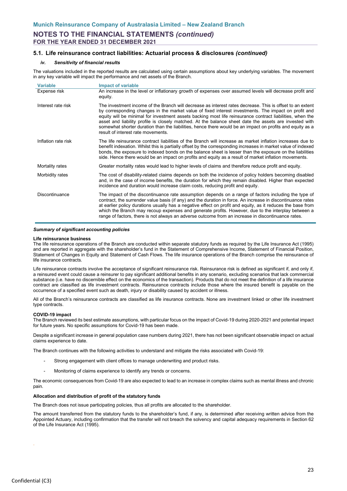### **5.1. Life reinsurance contract liabilities: Actuarial process & disclosures** *(continued)*

#### *iv. Sensitivity of financial results*

The valuations included in the reported results are calculated using certain assumptions about key underlying variables. The movement in any key variable will impact the performance and net assets of the Branch.

| <b>Variable</b>     | <b>Impact of variable</b>                                                                                                                                                                                                                                                                                                                                                                                                                                                                                                                                                                  |
|---------------------|--------------------------------------------------------------------------------------------------------------------------------------------------------------------------------------------------------------------------------------------------------------------------------------------------------------------------------------------------------------------------------------------------------------------------------------------------------------------------------------------------------------------------------------------------------------------------------------------|
| Expense risk        | An increase in the level or inflationary growth of expenses over assumed levels will decrease profit and<br>equity.                                                                                                                                                                                                                                                                                                                                                                                                                                                                        |
| Interest rate risk  | The investment income of the Branch will decrease as interest rates decrease. This is offset to an extent<br>by corresponding changes in the market value of fixed interest investments. The impact on profit and<br>equity will be minimal for investment assets backing most life reinsurance contract liabilities, when the<br>asset and liability profile is closely matched. At the balance sheet date the assets are invested with<br>somewhat shorter duration than the liabilities, hence there would be an impact on profits and equity as a<br>result of interest rate movements |
| Inflation rate risk | The life reinsurance contract liabilities of the Branch will increase as market inflation increases due to<br>benefit indexation. Whilst this is partially offset by the corresponding increases in market value of indexed<br>bonds, the exposure to indexed bonds on the balance sheet is lesser than the exposure on the liabilities<br>side. Hence there would be an impact on profits and equity as a result of market inflation movements.                                                                                                                                           |
| Mortality rates     | Greater mortality rates would lead to higher levels of claims and therefore reduce profit and equity.                                                                                                                                                                                                                                                                                                                                                                                                                                                                                      |
| Morbidity rates     | The cost of disability-related claims depends on both the incidence of policy holders becoming disabled<br>and, in the case of income benefits, the duration for which they remain disabled. Higher than expected<br>incidence and duration would increase claim costs, reducing profit and equity.                                                                                                                                                                                                                                                                                        |
| Discontinuance      | The impact of the discontinuance rate assumption depends on a range of factors including the type of<br>contract, the surrender value basis (if any) and the duration in force. An increase in discontinuance rates<br>at earlier policy durations usually has a negative effect on profit and equity, as it reduces the base from<br>which the Branch may recoup expenses and generate profits. However, due to the interplay between a<br>range of factors, there is not always an adverse outcome from an increase in discontinuance rates.                                             |

#### *Summary of significant accounting policies*

#### **Life reinsurance business**

The life reinsurance operations of the Branch are conducted within separate statutory funds as required by the Life Insurance Act (1995) and are reported in aggregate with the shareholder's fund in the Statement of Comprehensive Income, Statement of Financial Position, Statement of Changes in Equity and Statement of Cash Flows. The life insurance operations of the Branch comprise the reinsurance of life insurance contracts.

Life reinsurance contracts involve the acceptance of significant reinsurance risk. Reinsurance risk is defined as significant if, and only if, a reinsured event could cause a reinsurer to pay significant additional benefits in any scenario, excluding scenarios that lack commercial substance (i.e. have no discernible effect on the economics of the transaction). Products that do not meet the definition of a life insurance contract are classified as life investment contracts. Reinsurance contracts include those where the insured benefit is payable on the occurrence of a specified event such as death, injury or disability caused by accident or illness.

All of the Branch's reinsurance contracts are classified as life insurance contracts. None are investment linked or other life investment type contracts.

#### **COVID-19 impact**

The Branch reviewed its best estimate assumptions, with particular focus on the impact of Covid-19 during 2020-2021 and potential impact for future years. No specific assumptions for Covid-19 has been made.

Despite a significant increase in general population case numbers during 2021, there has not been significant observable impact on actual claims experience to date.

The Branch continues with the following activities to understand and mitigate the risks associated with Covid-19:

- Strong engagement with client offices to manage underwriting and product risks.
- Monitoring of claims experience to identify any trends or concerns.

The economic consequences from Covid-19 are also expected to lead to an increase in complex claims such as mental illness and chronic pain.

#### **Allocation and distribution of profit of the statutory funds**

The Branch does not issue participating policies, thus all profits are allocated to the shareholder.

The amount transferred from the statutory funds to the shareholder's fund, if any, is determined after receiving written advice from the Appointed Actuary, including confirmation that the transfer will not breach the solvency and capital adequacy requirements in Section 62 of the Life Insurance Act (1995).

.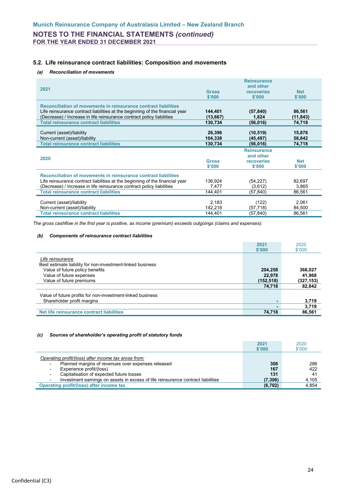**FOR THE YEAR ENDED 31 DECEMBER 2021**

### **5.2. Life reinsurance contract liabilities: Composition and movements**

### *(a) Reconciliation of movements*

| 2021                                                                                                                                                                                                                                                                      | <b>Gross</b><br>\$'000          | <b>Reinsurance</b><br>and other<br><b>recoveries</b><br>\$'000 | <b>Net</b><br>\$'000         |
|---------------------------------------------------------------------------------------------------------------------------------------------------------------------------------------------------------------------------------------------------------------------------|---------------------------------|----------------------------------------------------------------|------------------------------|
| Reconciliation of movements in reinsurance contract liabilities<br>Life reinsurance contract liabilities at the beginning of the financial year<br>(Decrease) / Increase in life reinsurance contract policy liabilities<br><b>Total reinsurance contract liabilities</b> | 144,401<br>(13, 667)<br>130,734 | (57, 840)<br>1,824<br>(56, 016)                                | 86,561<br>(11,843)<br>74,718 |
| Current (asset)/liability<br>Non-current (asset)/liability<br><b>Total reinsurance contract liabilities</b>                                                                                                                                                               | 26,396<br>104,338<br>130,734    | (10, 519)<br>(45,497)<br>(56, 016)                             | 15,876<br>58,842<br>74,718   |
| 2020                                                                                                                                                                                                                                                                      | <b>Gross</b><br>\$'000          | <b>Reinsurance</b><br>and other<br>recoveries<br>\$'000        | <b>Net</b><br>\$'000         |
| Reconciliation of movements in reinsurance contract liabilities<br>Life reinsurance contract liabilities at the beginning of the financial year<br>(Decrease) / Increase in life reinsurance contract policy liabilities                                                  | 136.924<br>7,477                | (54, 227)<br>(3,612)                                           | 82,697<br>3,865              |
| <b>Total reinsurance contract liabilities</b>                                                                                                                                                                                                                             | 144,401                         | (57,840)                                                       | 86,561                       |
| Current (asset)/liability<br>Non-current (asset)/liability<br><b>Total reinsurance contract liabilities</b>                                                                                                                                                               | 2,183<br>142,218<br>144,401     | (122)<br>(57, 718)<br>(57,840)                                 | 2,061<br>84,500<br>86,561    |

*The gross cashflow in the first year is positive, as income (premium) exceeds outgoings (claims and expenses).*

#### *(b) Components of reinsurance contract liabilities*

|                                                            | 2021      | 2020       |
|------------------------------------------------------------|-----------|------------|
|                                                            | \$'000    | \$'000     |
|                                                            |           |            |
| Life reinsurance                                           |           |            |
| Best estimate liability for non-investment-linked business |           |            |
| Value of future policy benefits                            | 204,258   | 368,027    |
| Value of future expenses                                   | 22,978    | 41,968     |
| Value of future premiums                                   | (152,518) | (327, 153) |
|                                                            | 74,718    | 82,842     |
|                                                            |           |            |
| Value of future profits for non-investment-linked business |           |            |
| Shareholder profit margins                                 |           | 3,719      |
|                                                            |           | 3,719      |
| Net life reinsurance contract liabilities                  | 74,718    | 86,561     |

#### *(c) Sources of shareholder's operating profit of statutory funds*

|                                                                                                            | 2021     | 2020   |
|------------------------------------------------------------------------------------------------------------|----------|--------|
|                                                                                                            | \$'000   | \$'000 |
| Operating profit/(loss) after income tax arose from:<br>Planned margins of revenues over expenses released | 306      | 286    |
| Experience profit/(loss)                                                                                   | 167      | 422    |
| Capitalisation of expected future losses                                                                   | 131      | 41     |
| Investment earnings on assets in excess of life reinsurance contract liabilities                           | (7, 306) | 4,105  |
| <b>Operating profit/(loss) after income tax</b>                                                            | (6,702)  | 4,854  |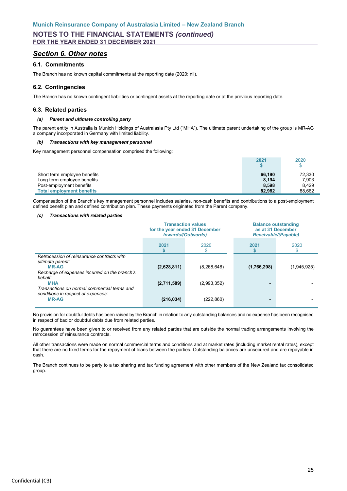## <span id="page-26-0"></span>*Section 6. Other notes*

### **6.1. Commitments**

The Branch has no known capital commitments at the reporting date (2020: nil).

### **6.2. Contingencies**

The Branch has no known contingent liabilities or contingent assets at the reporting date or at the previous reporting date.

### **6.3. Related parties**

### *(a) Parent and ultimate controlling party*

The parent entity in Australia is Munich Holdings of Australasia Pty Ltd ("MHA"). The ultimate parent undertaking of the group is MR-AG a company incorporated in Germany with limited liability.

#### *(b) Transactions with key management personnel*

Key management personnel compensation comprised the following:

|                                  | 2021   | 2020   |
|----------------------------------|--------|--------|
| Short term employee benefits     | 66,190 | 72,330 |
| Long term employee benefits      | 8,194  | 7,903  |
| Post-employment benefits         | 8,598  | 8.429  |
| <b>Total employment benefits</b> | 82.982 | 88.662 |

Compensation of the Branch's key management personnel includes salaries, non-cash benefits and contributions to a post-employment defined benefit plan and defined contribution plan. These payments originated from the Parent company.

### *(c) Transactions with related parties*

|                                                                                                                                 | <b>Transaction values</b><br>for the year ended 31 December<br><b>Inwards/(Outwards)</b> |               | <b>Balance outstanding</b><br>as at 31 December<br><b>Receivable/(Payable)</b> |             |
|---------------------------------------------------------------------------------------------------------------------------------|------------------------------------------------------------------------------------------|---------------|--------------------------------------------------------------------------------|-------------|
|                                                                                                                                 | 2021                                                                                     | 2020          | 2021                                                                           | 2020        |
| Retrocession of reinsurance contracts with<br>ultimate parent:<br><b>MR-AG</b><br>Recharge of expenses incurred on the branch's | (2,628,811)                                                                              | (8, 268, 648) | (1,766,298)                                                                    | (1,945,925) |
| behalf:<br><b>MHA</b><br>Transactions on normal commercial terms and                                                            | (2,711,589)                                                                              | (2,993,352)   |                                                                                |             |
| conditions in respect of expenses:<br><b>MR-AG</b>                                                                              | (216, 034)                                                                               | (222,860)     | ٠                                                                              |             |

No provision for doubtful debts has been raised by the Branch in relation to any outstanding balances and no expense has been recognised in respect of bad or doubtful debts due from related parties.

No guarantees have been given to or received from any related parties that are outside the normal trading arrangements involving the retrocession of reinsurance contracts.

All other transactions were made on normal commercial terms and conditions and at market rates (including market rental rates), except that there are no fixed terms for the repayment of loans between the parties. Outstanding balances are unsecured and are repayable in cash.

The Branch continues to be party to a tax sharing and tax funding agreement with other members of the New Zealand tax consolidated group.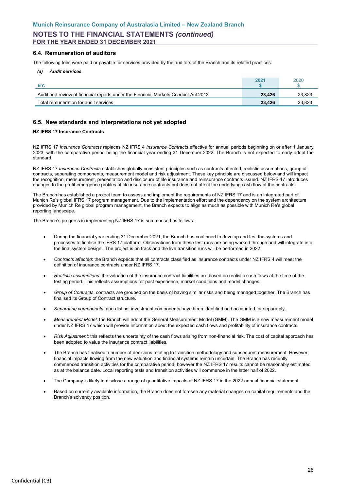### **6.4. Remuneration of auditors**

The following fees were paid or payable for services provided by the auditors of the Branch and its related practices:

#### *(a) Audit services*

| FV.                                                                                | 2021   | 2020   |
|------------------------------------------------------------------------------------|--------|--------|
| Audit and review of financial reports under the Financial Markets Conduct Act 2013 | 23,426 | 23.823 |
| Total remuneration for audit services                                              | 23.426 | 23.823 |

### **6.5. New standards and interpretations not yet adopted**

### **NZ IFRS 17 Insurance Contracts**

NZ IFRS 17 *Insurance Contracts* replaces NZ IFRS 4 *Insurance Contracts* effective for annual periods beginning on or after 1 January 2023, with the comparative period being the financial year ending 31 December 2022. The Branch is not expected to early adopt the standard.

NZ IFRS 17 *Insurance Contracts* establishes globally consistent principles such as contracts affected, realistic assumptions, group of contracts, separating components, measurement model and risk adjustment. These key principle are discussed below and will impact the recognition, measurement, presentation and disclosure of life insurance and reinsurance contracts issued. NZ IFRS 17 introduces changes to the profit emergence profiles of life insurance contracts but does not affect the underlying cash flow of the contracts.

The Branch has established a project team to assess and implement the requirements of NZ IFRS 17 and is an integrated part of Munich Re's global IFRS 17 program management. Due to the implementation effort and the dependency on the system architecture provided by Munich Re global program management, the Branch expects to align as much as possible with Munich Re's global reporting landscape.

The Branch's progress in implementing NZ IFRS 17 is summarised as follows:

- During the financial year ending 31 December 2021, the Branch has continued to develop and test the systems and processes to finalise the IFRS 17 platform. Observations from these test runs are being worked through and will integrate into the final system design. The project is on track and the live transition runs will be performed in 2022.
- *Contracts affected*: the Branch expects that all contracts classified as insurance contracts under NZ IFRS 4 will meet the definition of insurance contracts under NZ IFRS 17.
- *Realistic assumptions*: the valuation of the insurance contract liabilities are based on realistic cash flows at the time of the testing period. This reflects assumptions for past experience, market conditions and model changes.
- *Group of Contracts*: contracts are grouped on the basis of having similar risks and being managed together. The Branch has finalised its Group of Contract structure.
- *Separating components*: non-distinct investment components have been identified and accounted for separately.
- *Measurement Model*: the Branch will adopt the General Measurement Model (GMM). The GMM is a new measurement model under NZ IFRS 17 which will provide information about the expected cash flows and profitability of insurance contracts.
- *Risk Adjustment*: this reflects the uncertainty of the cash flows arising from non-financial risk. The cost of capital approach has been adopted to value the insurance contract liabilities.
- The Branch has finalised a number of decisions relating to transition methodology and subsequent measurement. However, financial impacts flowing from the new valuation and financial systems remain uncertain. The Branch has recently commenced transition activities for the comparative period, however the NZ IFRS 17 results cannot be reasonably estimated as at the balance date. Local reporting tests and transition activities will commence in the latter half of 2022.
- The Company is likely to disclose a range of quantitative impacts of NZ IFRS 17 in the 2022 annual financial statement.
- Based on currently available information, the Branch does not foresee any material changes on capital requirements and the Branch's solvency position.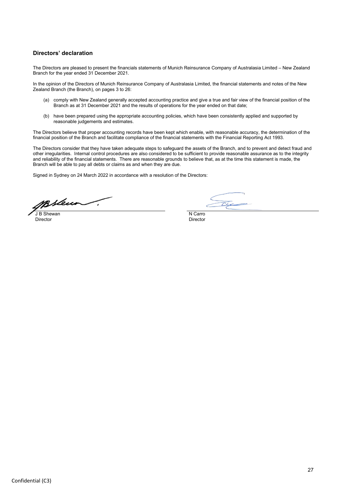### <span id="page-28-0"></span>**Directors' declaration**

The Directors are pleased to present the financials statements of Munich Reinsurance Company of Australasia Limited – New Zealand Branch for the year ended 31 December 2021.

In the opinion of the Directors of Munich Reinsurance Company of Australasia Limited, the financial statements and notes of the New Zealand Branch (the Branch), on pages 3 to 26:

- (a) comply with New Zealand generally accepted accounting practice and give a true and fair view of the financial position of the Branch as at 31 December 2021 and the results of operations for the year ended on that date;
- (b) have been prepared using the appropriate accounting policies, which have been consistently applied and supported by reasonable judgements and estimates.

The Directors believe that proper accounting records have been kept which enable, with reasonable accuracy, the determination of the financial position of the Branch and facilitate compliance of the financial statements with the Financial Reporting Act 1993.

The Directors consider that they have taken adequate steps to safeguard the assets of the Branch, and to prevent and detect fraud and other irregularities. Internal control procedures are also considered to be sufficient to provide reasonable assurance as to the integrity and reliability of the financial statements. There are reasonable grounds to believe that, as at the time this statement is made, the Branch will be able to pay all debts or claims as and when they are due.

Signed in Sydney on 24 March 2022 in accordance with a resolution of the Directors:

Breur **J** B Shewan N Carrolland Control of the United States of the United States of the United States of the United States of the United States of the United States of the United States of the United States of the United States

Director Director

 $\overline{C}$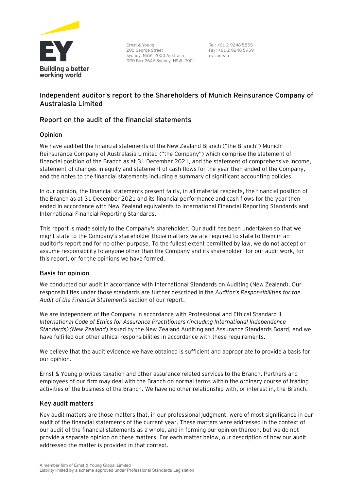

Ernst & Young 200 George Street Sydney NSW 2000 Australia GPO Box 2646 Sydney NSW 2001

Tel: +61 2 9248 5555 Fax: +61 2 9248 5959 ey.com/au

## **Independent auditor's report to the Shareholders of Munich Reinsurance Company of Australasia Limited**

## **Report on the audit of the financial statements**

## **Opinion**

We have audited the financial statements of the New Zealand Branch ("the Branch") Munich Reinsurance Company of Australasia Limited ("the Company") which comprise the statement of financial position of the Branch as at 31 December 2021, and the statement of comprehensive income, statement of changes in equity and statement of cash flows for the year then ended of the Company, and the notes to the financial statements including a summary of significant accounting policies.

In our opinion, the financial statements present fairly, in all material respects, the financial position of the Branch as at 31 December 2021 and its financial performance and cash flows for the year then ended in accordance with New Zealand equivalents to International Financial Reporting Standards and International Financial Reporting Standards.

This report is made solely to the Company's shareholder. Our audit has been undertaken so that we might state to the Company's shareholder those matters we are required to state to them in an auditor's report and for no other purpose. To the fullest extent permitted by law, we do not accept or assume responsibility to anyone other than the Company and its shareholder, for our audit work, for this report, or for the opinions we have formed.

## **Basis for opinion**

We conducted our audit in accordance with International Standards on Auditing (New Zealand). Our responsibilities under those standards are further described in the *Auditor's Responsibilities for the Audit of the Financial Statements* section of our report.

We are independent of the Company in accordance with Professional and Ethical Standard 1 *International Code of Ethics for Assurance Practitioners (including International Independence Standards) (New Zealand)* issued by the New Zealand Auditing and Assurance Standards Board, and we have fulfilled our other ethical responsibilities in accordance with these requirements.

We believe that the audit evidence we have obtained is sufficient and appropriate to provide a basis for our opinion.

Ernst & Young provides taxation and other assurance related services to the Branch. Partners and employees of our firm may deal with the Branch on normal terms within the ordinary course of trading activities of the business of the Branch. We have no other relationship with, or interest in, the Branch.

## **Key audit matters**

Key audit matters are those matters that, in our professional judgment, were of most significance in our audit of the financial statements of the current year. These matters were addressed in the context of our audit of the financial statements as a whole, and in forming our opinion thereon, but we do not provide a separate opinion on these matters. For each matter below, our description of how our audit addressed the matter is provided in that context.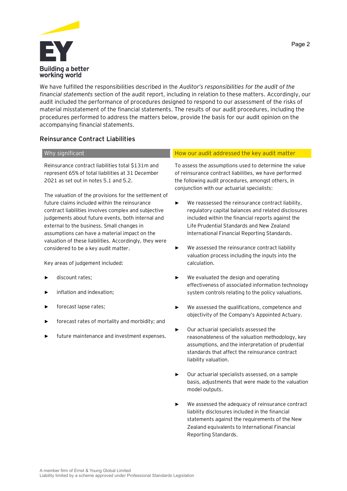

We have fulfilled the responsibilities described in the *Auditor's responsibilities for the audit of the financial statements* section of the audit report, including in relation to these matters. Accordingly, our audit included the performance of procedures designed to respond to our assessment of the risks of material misstatement of the financial statements. The results of our audit procedures, including the procedures performed to address the matters below, provide the basis for our audit opinion on the accompanying financial statements.

## **Reinsurance Contract Liabilities**

Reinsurance contract liabilities total \$131m and represent 65% of total liabilities at 31 December 2021 as set out in notes 5.1 and 5.2.

The valuation of the provisions for the settlement of future claims included within the reinsurance contract liabilities involves complex and subjective judgements about future events, both internal and external to the business. Small changes in assumptions can have a material impact on the valuation of these liabilities. Accordingly, they were considered to be a key audit matter.

Key areas of judgement included:

- discount rates;
- inflation and indexation:
- forecast lapse rates;
- forecast rates of mortality and morbidity; and
- future maintenance and investment expenses.

### Why significant How our audit addressed the key audit matter  $\Box$  How our audit addressed the key audit matter

To assess the assumptions used to determine the value of reinsurance contract liabilities, we have performed the following audit procedures, amongst others, in conjunction with our actuarial specialists:

- ► We reassessed the reinsurance contract liability, regulatory capital balances and related disclosures included within the financial reports against the Life Prudential Standards and New Zealand International Financial Reporting Standards.
- ► We assessed the reinsurance contract liability valuation process including the inputs into the calculation.
- ► We evaluated the design and operating effectiveness of associated information technology system controls relating to the policy valuations.
- ► We assessed the qualifications, competence and objectivity of the Company's Appointed Actuary.
- ► Our actuarial specialists assessed the reasonableness of the valuation methodology, key assumptions, and the interpretation of prudential standards that affect the reinsurance contract liability valuation.
- Our actuarial specialists assessed, on a sample basis, adjustments that were made to the valuation model outputs.
- We assessed the adequacy of reinsurance contract liability disclosures included in the financial statements against the requirements of the New Zealand equivalents to International Financial Reporting Standards.